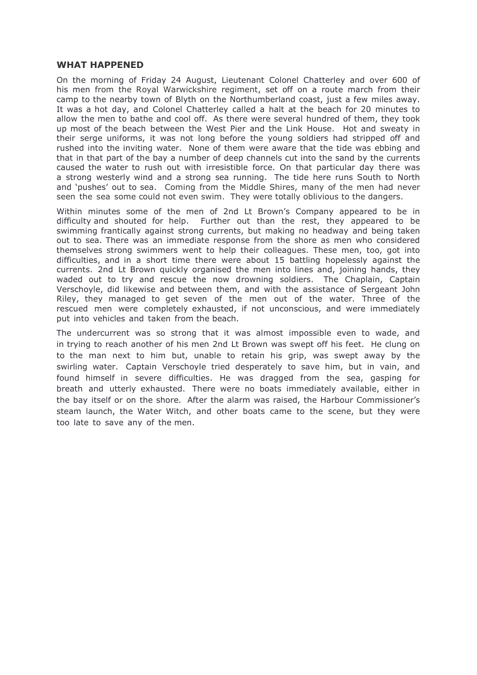## **WHAT HAPPENED**

On the morning of Friday 24 August, Lieutenant Colonel Chatterley and over 600 of his men from the Royal Warwickshire regiment, set off on a route march from their camp to the nearby town of Blyth on the Northumberland coast, just a few miles away. It was a hot day, and Colonel Chatterley called a halt at the beach for 20 minutes to allow the men to bathe and cool off. As there were several hundred of them, they took up most of the beach between the West Pier and the Link House. Hot and sweaty in their serge uniforms, it was not long before the young soldiers had stripped off and rushed into the inviting water. None of them were aware that the tide was ebbing and that in that part of the bay a number of deep channels cut into the sand by the currents caused the water to rush out with irresistible force. On that particular day there was a strong westerly wind and a strong sea running. The tide here runs South to North and 'pushes' out to sea. Coming from the Middle Shires, many of the men had never seen the sea some could not even swim. They were totally oblivious to the dangers.

Within minutes some of the men of 2nd Lt Brown's Company appeared to be in difficulty and shouted for help. Further out than the rest, they appeared to be swimming frantically against strong currents, but making no headway and being taken out to sea. There was an immediate response from the shore as men who considered themselves strong swimmers went to help their colleagues. These men, too, got into difficulties, and in a short time there were about 15 battling hopelessly against the currents. 2nd Lt Brown quickly organised the men into lines and, joining hands, they waded out to try and rescue the now drowning soldiers. The Chaplain, Captain Verschoyle, did likewise and between them, and with the assistance of Sergeant John Riley, they managed to get seven of the men out of the water. Three of the rescued men were completely exhausted, if not unconscious, and were immediately put into vehicles and taken from the beach.

The undercurrent was so strong that it was almost impossible even to wade, and in trying to reach another of his men 2nd Lt Brown was swept off his feet. He clung on to the man next to him but, unable to retain his grip, was swept away by the swirling water. Captain Verschoyle tried desperately to save him, but in vain, and found himself in severe difficulties. He was dragged from the sea, gasping for breath and utterly exhausted. There were no boats immediately available, either in the bay itself or on the shore. After the alarm was raised, the Harbour Commissioner's steam launch, the Water Witch, and other boats came to the scene, but they were too late to save any of the men.